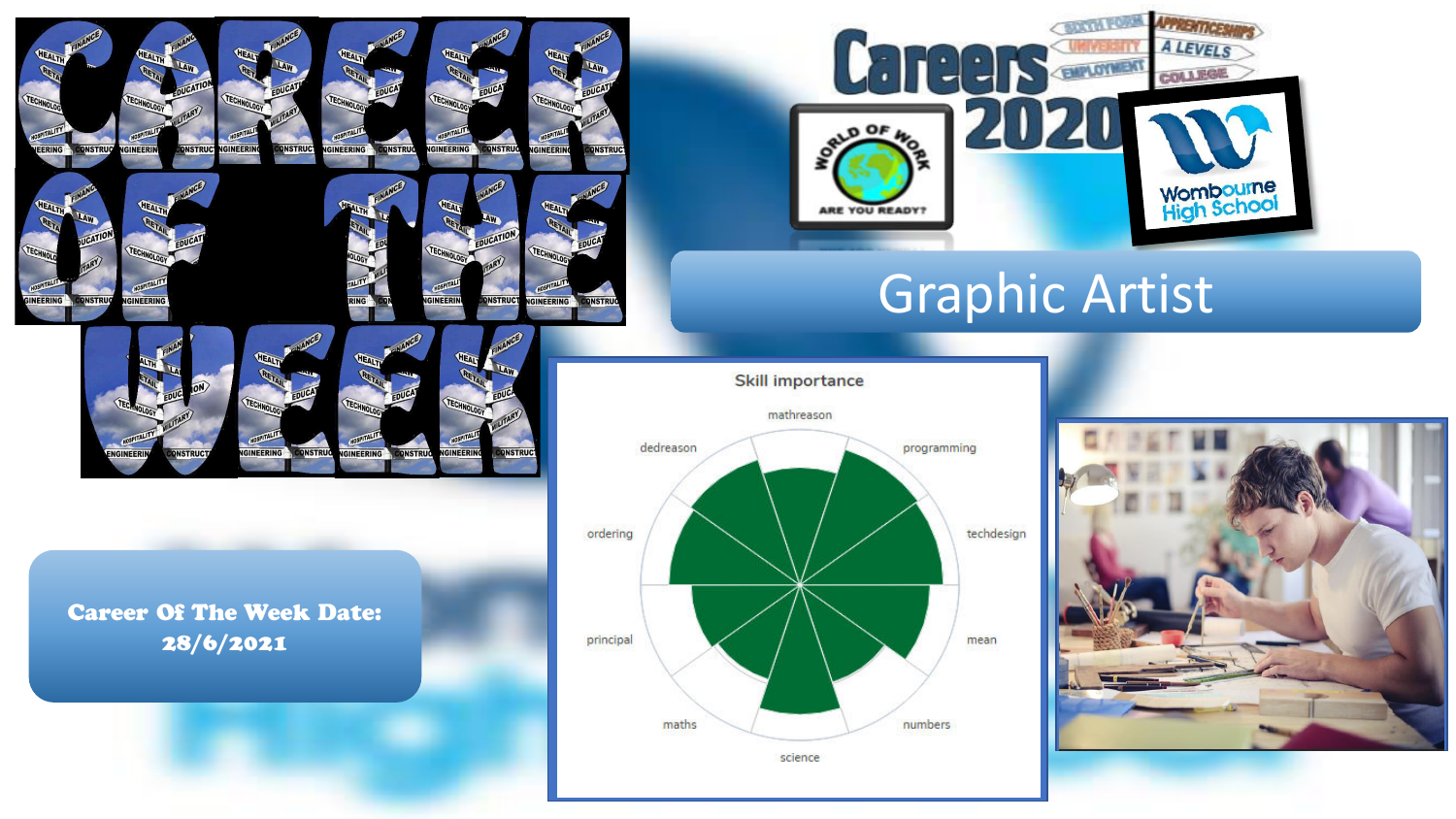

GINEERING

**INEER** 

**DNSTRU** 

**INSTRU** 



**ONSTRUC** 

GINFFR



# Graphic Artist

**Skill importance** 



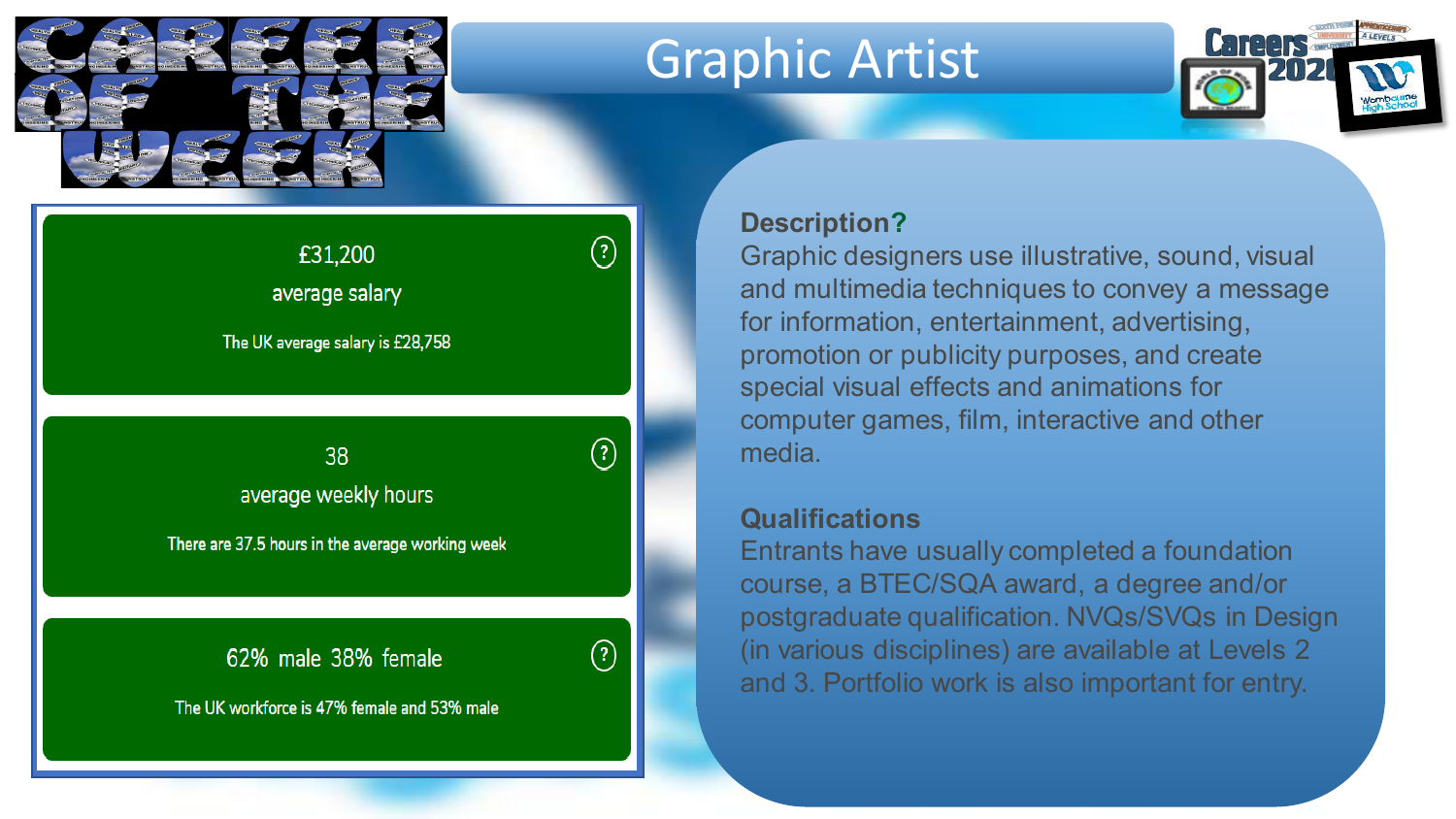

## Graphic Artist



### £31,200 average salary

The UK average salary is £28,758

Insert avg salary, weekly hours and male/female average weekly hours

There are 37.5 hours in the average working week

62% male 38% female

The UK workforce is 47% female and 53% male

#### **Description?**

 $\left( 2\right)$ 

 $\odot$ 

Graphic designers use illustrative, sound, visual and multimedia techniques to convey a message for information, entertainment, advertising, promotion or publicity purposes, and create special visual effects and animations for computer games, film, interactive and other media.

#### **Qualifications**

Entrants have usually completed a foundation course, a BTEC/SQA award, a degree and/or postgraduate qualification. NVQs/SVQs in Design (in various disciplines) are available at Levels 2 and 3. Portfolio work is also important for entry.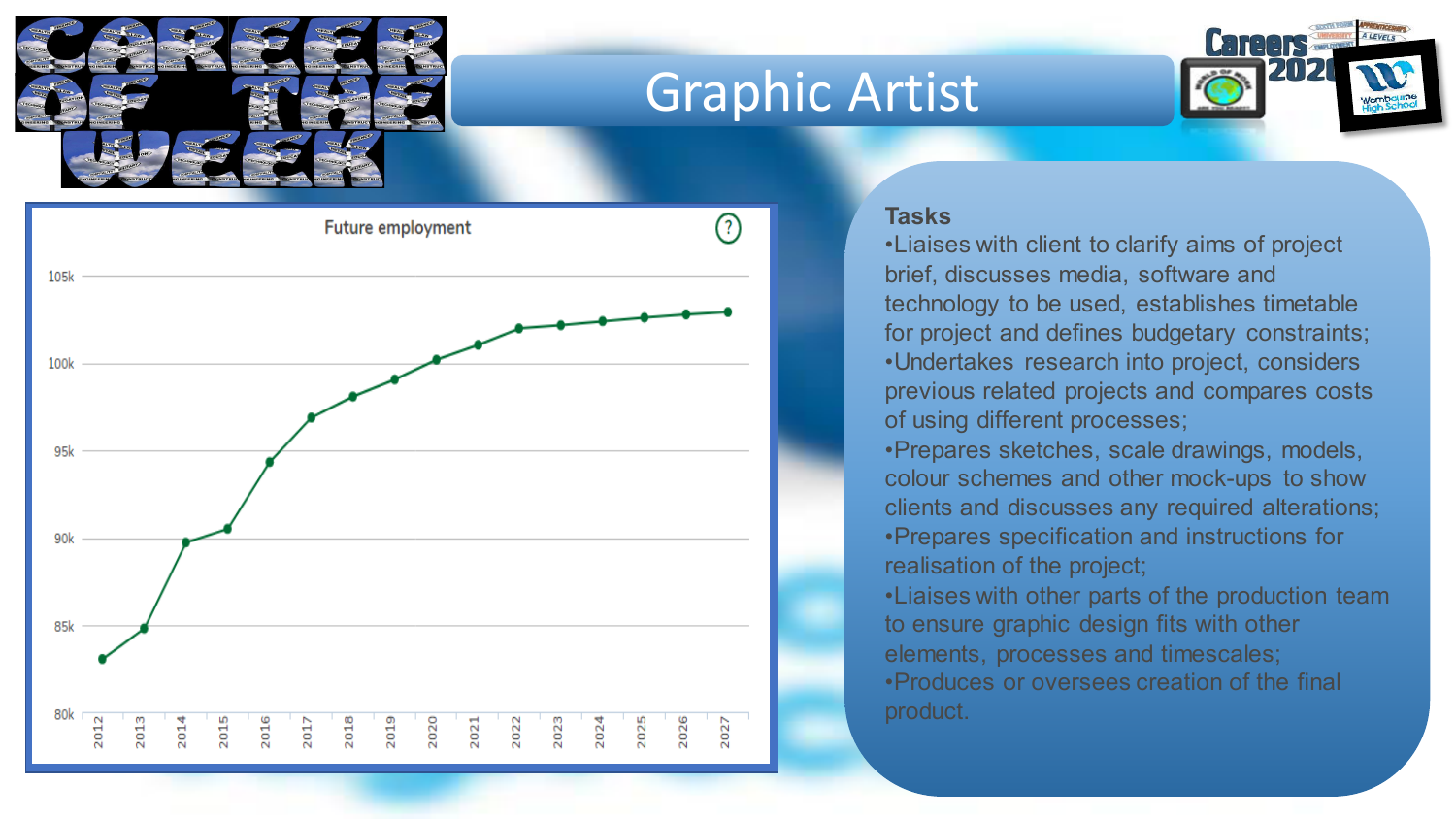

### Graphic Artist





#### **Tasks**

•Liaises with client to clarify aims of project brief, discusses media, software and technology to be used, establishes timetable for project and defines budgetary constraints; •Undertakes research into project, considers previous related projects and compares costs of using different processes;

•Prepares sketches, scale drawings, models, colour schemes and other mock-ups to show clients and discusses any required alterations; •Prepares specification and instructions for realisation of the project;

•Liaises with other parts of the production team to ensure graphic design fits with other elements, processes and timescales; •Produces or oversees creation of the final product.